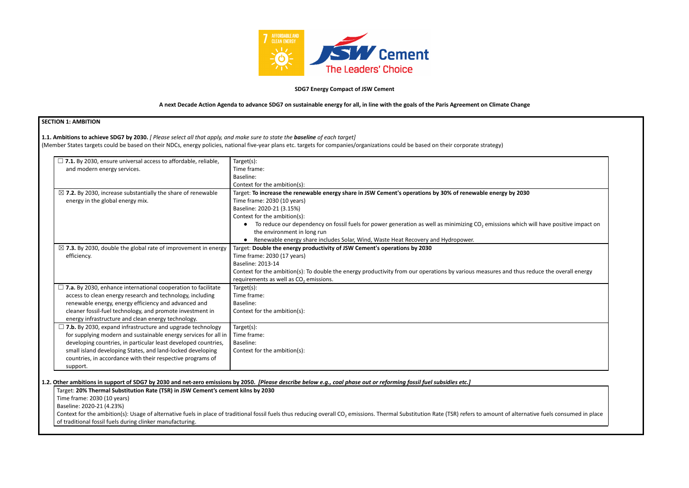

## **SDG7 Energy Compact of JSW Cement**

## A next Decade Action Agenda to advance SDG7 on sustainable energy for all, in line with the goals of the Paris Agreement on Climate Change

# **SEC**

| $\Box$ 7.1. By 2030, ensure universal access to affordable, reliable,            | Target(s):                                                                                                                                                                                                                            |
|----------------------------------------------------------------------------------|---------------------------------------------------------------------------------------------------------------------------------------------------------------------------------------------------------------------------------------|
| and modern energy services.                                                      | Time frame:                                                                                                                                                                                                                           |
|                                                                                  | Baseline:                                                                                                                                                                                                                             |
|                                                                                  | Context for the ambition(s):                                                                                                                                                                                                          |
| $\boxtimes$ 7.2. By 2030, increase substantially the share of renewable          | Target: To increase the renewable energy share in JSW Cement's operations by 30% of renewable energy by 2030                                                                                                                          |
| energy in the global energy mix.                                                 | Time frame: 2030 (10 years)                                                                                                                                                                                                           |
|                                                                                  | Baseline: 2020-21 (3.15%)                                                                                                                                                                                                             |
|                                                                                  | Context for the ambition(s):                                                                                                                                                                                                          |
|                                                                                  | • To reduce our dependency on fossil fuels for power generation as well as minimizing $CO2$ emissions which will have positive impact on                                                                                              |
|                                                                                  | the environment in long run                                                                                                                                                                                                           |
|                                                                                  | • Renewable energy share includes Solar, Wind, Waste Heat Recovery and Hydropower.                                                                                                                                                    |
| $\boxtimes$ 7.3. By 2030, double the global rate of improvement in energy        | Target: Double the energy productivity of JSW Cement's operations by 2030                                                                                                                                                             |
| efficiency.                                                                      | Time frame: 2030 (17 years)                                                                                                                                                                                                           |
|                                                                                  | Baseline: 2013-14                                                                                                                                                                                                                     |
|                                                                                  | Context for the ambition(s): To double the energy productivity from our operations by various measures and thus reduce the overall energy                                                                                             |
|                                                                                  | requirements as well as $CO2$ emissions.                                                                                                                                                                                              |
| $\Box$ 7.a. By 2030, enhance international cooperation to facilitate             | Target(s):                                                                                                                                                                                                                            |
| access to clean energy research and technology, including                        | Time frame:                                                                                                                                                                                                                           |
| renewable energy, energy efficiency and advanced and                             | Baseline:                                                                                                                                                                                                                             |
| cleaner fossil-fuel technology, and promote investment in                        | Context for the ambition(s):                                                                                                                                                                                                          |
| energy infrastructure and clean energy technology.                               |                                                                                                                                                                                                                                       |
| $\Box$ 7.b. By 2030, expand infrastructure and upgrade technology                | Target(s):                                                                                                                                                                                                                            |
| for supplying modern and sustainable energy services for all in                  | Time frame:                                                                                                                                                                                                                           |
| developing countries, in particular least developed countries,                   | Baseline:                                                                                                                                                                                                                             |
| small island developing States, and land-locked developing                       | Context for the ambition(s):                                                                                                                                                                                                          |
| countries, in accordance with their respective programs of                       |                                                                                                                                                                                                                                       |
| support.                                                                         |                                                                                                                                                                                                                                       |
|                                                                                  |                                                                                                                                                                                                                                       |
|                                                                                  | Other ambitions in support of SDG7 by 2030 and net-zero emissions by 2050. [Please describe below e.g., coal phase out or reforming fossil fuel subsidies etc.]                                                                       |
| Target: 20% Thermal Substitution Rate (TSR) in JSW Cement's cement kilns by 2030 |                                                                                                                                                                                                                                       |
| Time frame: 2030 (10 years)                                                      |                                                                                                                                                                                                                                       |
| Baseline: 2020-21 (4.23%)                                                        |                                                                                                                                                                                                                                       |
|                                                                                  | Context for the ambition(s): Usage of alternative fuels in place of traditional fossil fuels thus reducing overall CO <sub>2</sub> emissions. Thermal Substitution Rate (TSR) refers to amount of alternative fuels consumed in place |
| of traditional fossil fuels during clinker manufacturing.                        |                                                                                                                                                                                                                                       |

## 1.2. Other ambitions in support of SDG7 by 2030 and net-zero emissions by 2050. [Please describe below e.g., coal phase out or reforming fossil fuel subsidies etc.]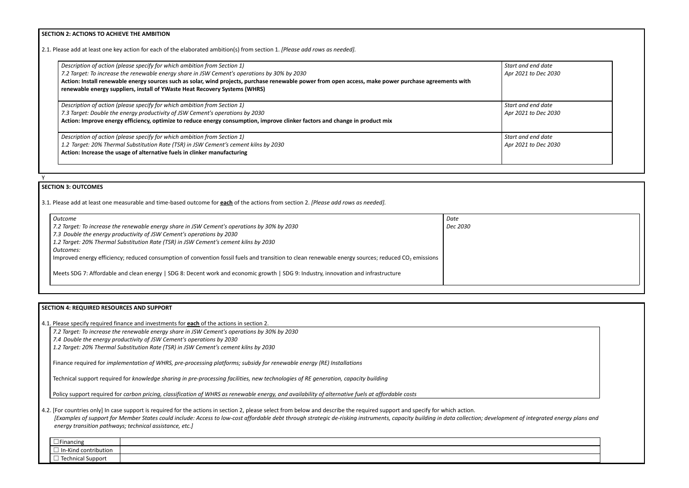**SECTION 2: ACTIONS TO ACHIEVE THE AMBITION**

2.1. Please add at least one key action for each of the elaborated ambition(s) from section 1. *[Please add rows as needed].*

*Start and end date Apr 2021 to Dec 2030*

| Description of action (please specify for which ambition from Section 1)                                                                              | Start a |
|-------------------------------------------------------------------------------------------------------------------------------------------------------|---------|
| 7.2 Target: To increase the renewable energy share in JSW Cement's operations by 30% by 2030                                                          | Apr 20  |
| Action: Install renewable energy sources such as solar, wind projects, purchase renewable power from open access, make power purchase agreements with |         |
| renewable energy suppliers, install of YWaste Heat Recovery Systems (WHRS)                                                                            |         |
| Description of action (please specify for which ambition from Section 1)                                                                              | Start a |
| 7.3 Target: Double the energy productivity of JSW Cement's operations by 2030                                                                         | Apr 20  |
| Action: Improve energy efficiency, optimize to reduce energy consumption, improve clinker factors and change in product mix                           |         |
| Description of action (please specify for which ambition from Section 1)                                                                              | Start a |
| 1.2 Target: 20% Thermal Substitution Rate (TSR) in JSW Cement's cement kilns by 2030                                                                  | Apr 20  |
| Action: Increase the usage of alternative fuels in clinker manufacturing                                                                              |         |

*Start and end date Apr 2021 to Dec 2030*

*Start and end date Apr 2021 to Dec 2030*

Y

# **SECTION 3: OUTCOMES**

3.1*.* Please add at least one measurable and time-based outcome for **each** of the actions from section 2. *[Please add rows as needed].*

| 4.2. [For countries only] In case support is required for the actions in section 2, please select from below and describe the required support and specify for which action.           |
|----------------------------------------------------------------------------------------------------------------------------------------------------------------------------------------|
| [Examples of support for Member States could include: Access to low-cost affordable debt through strategic de-risking instruments, capacity building in data collection; development c |
| energy transition pathways; technical assistance, etc.]                                                                                                                                |

| Outcome                                                                                                                                                        | Date     |
|----------------------------------------------------------------------------------------------------------------------------------------------------------------|----------|
| 7.2 Target: To increase the renewable energy share in JSW Cement's operations by 30% by 2030                                                                   | Dec 2030 |
| 7.3 Double the energy productivity of JSW Cement's operations by 2030                                                                                          |          |
| 1.2 Target: 20% Thermal Substitution Rate (TSR) in JSW Cement's cement kilns by 2030                                                                           |          |
| Outcomes:                                                                                                                                                      |          |
| Improved energy efficiency; reduced consumption of convention fossil fuels and transition to clean renewable energy sources; reduced CO <sub>2</sub> emissions |          |
|                                                                                                                                                                |          |
| Meets SDG 7: Affordable and clean energy   SDG 8: Decent work and economic growth   SDG 9: Industry, innovation and infrastructure                             |          |
|                                                                                                                                                                |          |

## **SECTION 4: REQUIRED RESOURCES AND SUPPORT**

4.1. Please specify required finance and investments for **each** of the actions in section 2.

*7.2 Target: To increase the renewable energy share in JSW Cement's operations by 30% by 2030*

*7.4 Double the energy productivity of JSW Cement's operations by 2030*

*1.2 Target: 20% Thermal Substitution Rate (TSR) in JSW Cement's cement kilns by 2030*

Finance required for *implementation of WHRS, pre-processing platforms; subsidy for renewable energy (RE) Installations*

Technical support required for *knowledge sharing in pre-processing facilities, new technologies of RE generation, capacity building*

Policy support required for carbon pricing, classification of WHRS as renewable energy, and availability of alternative fuels at affordable costs



|  | . |  |
|--|---|--|
|  |   |  |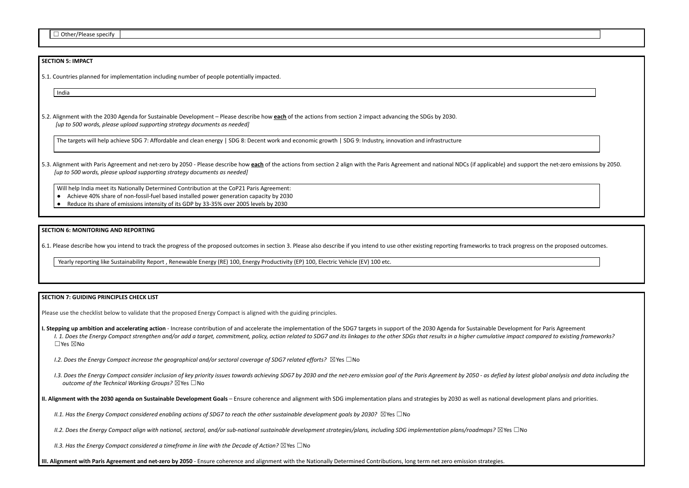## **SECTION 5: IMPACT**

5.1. Countries planned for implementation including number of people potentially impacted.

India

5.2. Alignment with the 2030 Agenda for Sustainable Development – Please describe how **each** of the actions from section 2 impact advancing the SDGs by 2030. *[up to 500 words, please upload supporting strategy documents as needed]*

5.3. Alignment with Paris Agreement and net-zero by 2050 - Please describe how each of the actions from section 2 align with the Paris Agreement and national NDCs (if applicable) and su *[up to 500 words, please upload supporting strategy documents as needed]*

The targets will help achieve SDG 7: Affordable and clean energy | SDG 8: Decent work and economic growth | SDG 9: Industry, innovation and infrastructure

Will help India meet its Nationally Determined Contribution at the CoP21 Paris Agreement:

- Achieve 40% share of non-fossil-fuel based installed power generation capacity by 2030
- Reduce its share of emissions intensity of its GDP by 33-35% over 2005 levels by 2030

I. Stepping up ambition and accelerating action - Increase contribution of and accelerate the implementation of the SDG7 targets in support of the 2030 Agenda for Sustainable Developm I. 1. Does the Energy Compact strengthen and/or add a target, commitment, policy, action related to SDG7 and its linkages to the other SDGs that results in a higher cumulative impact ☐Yes ☒No

#### **SECTION 6: MONITORING AND REPORTING**

6.1. Please describe how you intend to track the progress of the proposed outcomes in section 3. Please also describe if you intend to use other existing reporting frameworks to track pro

I.3. Does the Energy Compact consider inclusion of key priority issues towards achieving SDG7 by 2030 and the net-zero emission goal of the Paris Agreement by 2050 - as defied by la *outcome of the Technical Working Groups?* ☒Yes ☐No

II. Alignment with the 2030 agenda on Sustainable Development Goals - Ensure coherence and alignment with SDG implementation plans and strategies by 2030 as well as national deve

II.1. Has the Energy Compact considered enabling actions of SDG7 to reach the other sustainable development goals by 2030?  $\boxtimes$  Yes  $\Box$  No

II.2. Does the Energy Compact align with national, sectoral, and/or sub-national sustainable development strategies/plans, including SDG implementation plans/roadmaps?  $\boxtimes$ Yes  $\Box$ 

Yearly reporting like Sustainability Report , Renewable Energy (RE) 100, Energy Productivity (EP) 100, Electric Vehicle (EV) 100 etc.

#### **SECTION 7: GUIDING PRINCIPLES CHECK LIST**

Please use the checklist below to validate that the proposed Energy Compact is aligned with the guiding principles.

*I.2. Does the Energy Compact increase the geographical and/or sectoral coverage of SDG7 related efforts?* ☒Yes ☐No

*II.3. Has the Energy Compact considered a timeframe in line with the Decade of Action?* ☒Yes ☐No

III. Alignment with Paris Agreement and net-zero by 2050 - Ensure coherence and alignment with the Nationally Determined Contributions, long term net zero emission strategies.

| upport the net-zero emissions by 2050.      |
|---------------------------------------------|
|                                             |
|                                             |
|                                             |
|                                             |
|                                             |
|                                             |
| gress on the proposed outcomes.             |
|                                             |
|                                             |
|                                             |
|                                             |
|                                             |
| nent for Paris Agreement                    |
| ct compared to existing frameworks?         |
|                                             |
|                                             |
| test global analysis and data including the |
|                                             |
| elopment plans and priorities.              |
|                                             |
| No                                          |
|                                             |
|                                             |
|                                             |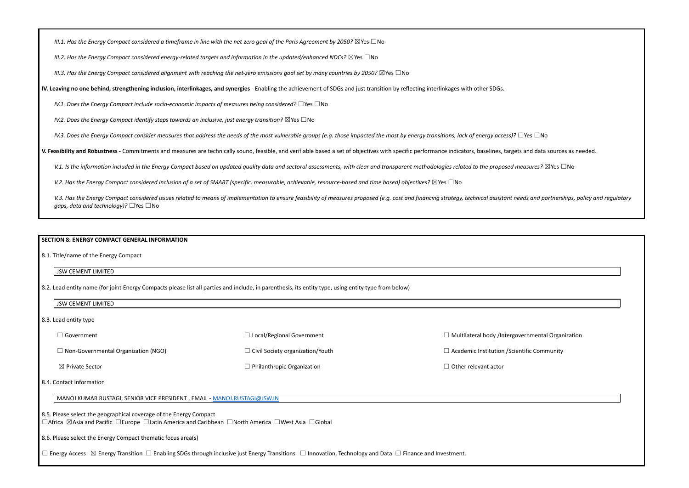III.1. Has the Energy Compact considered a timeframe in line with the net-zero goal of the Paris Agreement by 2050?  $\boxtimes$  Yes  $\Box$  No

*III.2. Has the Energy Compact considered energy-related targets and information in the updated/enhanced NDCs?* ☒Yes ☐No

III.3. Has the Energy Compact considered alignment with reaching the net-zero emissions goal set by many countries by 2050?  $\boxtimes$  Yes  $\Box$  No

IV. Leaving no one behind, strengthening inclusion, interlinkages, and synergies - Enabling the achievement of SDGs and just transition by reflecting interlinkages with other SDGs.

*IV.1. Does the Energy Compact include socio-economic impacts of measures being considered?* ☐Yes ☐No

*IV.2. Does the Energy Compact identify steps towards an inclusive, just energy transition?* ☒Yes ☐No

IV.3. Does the Energy Compact consider measures that address the needs of the most vulnerable groups (e.g. those impacted the most by energy transitions, lack of energy access)?  $\Box$  Yes  $\Box$  No

V. Feasibility and Robustness - Commitments and measures are technically sound, feasible, and verifiable based a set of objectives with specific performance indicators, baselines, targets and data sources as needed.

V.1. Is the information included in the Energy Compact based on updated quality data and sectoral assessments, with clear and transparent methodologies related to the proposed measures?  $\boxtimes$  Yes  $\Box$  No

V.2. Has the Energy Compact considered inclusion of a set of SMART (specific, measurable, achievable, resource-based and time based) objectives?  $\boxtimes$  Yes  $\Box$  No

V.3. Has the Energy Compact considered issues related to means of implementation to ensure feasibility of measures proposed (e.g. cost and financing strategy, technical assistant needs and partnerships, policy and regulato *gaps, data and technology)?* □Yes □No

### **SECTION 8: ENERGY COMPACT GENERAL INFORMATION**

8.1. Title/name of the Energy Compact

### JSW CEMENT LIMITED

8.2. Lead entity name (for joint Energy Compacts please list all parties and include, in parenthesis, its entity type, using entity type from below)

JSW CEMENT LIMITED

8.3. Lead entity type

| J Government                               | $\Box$ Local/Regional Government        | $\Box$ Multilateral body /Intergov  |
|--------------------------------------------|-----------------------------------------|-------------------------------------|
| $\Box$ Non-Governmental Organization (NGO) | $\Box$ Civil Society organization/Youth | $\Box$ Academic Institution / Scien |
| $\boxtimes$ Private Sector                 | $\Box$ Philanthropic Organization       | $\Box$ Other relevant actor         |

### 8.4. Contact Information

MANOJ KUMAR RUSTAGI, SENIOR VICE PRESIDENT , EMAIL - [MANOJ.RUSTAGI@JSW.IN](mailto:MANOJ.RUSTAGI@JSW.IN)

8.5. Please select the geographical coverage of the Energy Compact

☐Africa ☒Asia and Pacific ☐Europe ☐Latin America and Caribbean ☐North America ☐West Asia ☐Global

8.6. Please select the Energy Compact thematic focus area(s)

☐ Energy Access ☒ Energy Transition ☐ Enabling SDGs through inclusive just Energy Transitions ☐ Innovation, Technology and Data ☐ Finance and Investment.

ernmental Organization

ntific Community